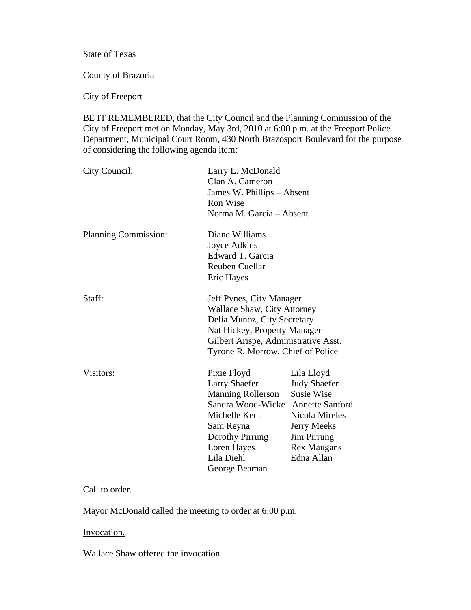State of Texas

County of Brazoria

City of Freeport

BE IT REMEMBERED, that the City Council and the Planning Commission of the City of Freeport met on Monday, May 3rd, 2010 at 6:00 p.m. at the Freeport Police Department, Municipal Court Room, 430 North Brazosport Boulevard for the purpose of considering the following agenda item:

| City Council:        | Larry L. McDonald<br>Clan A. Cameron<br>James W. Phillips - Absent<br><b>Ron Wise</b><br>Norma M. Garcia - Absent                                                                                          |                                                                                                                                                                                    |
|----------------------|------------------------------------------------------------------------------------------------------------------------------------------------------------------------------------------------------------|------------------------------------------------------------------------------------------------------------------------------------------------------------------------------------|
| Planning Commission: | Diane Williams<br>Joyce Adkins<br>Edward T. Garcia<br>Reuben Cuellar<br>Eric Hayes                                                                                                                         |                                                                                                                                                                                    |
| Staff:               | Jeff Pynes, City Manager<br><b>Wallace Shaw, City Attorney</b><br>Delia Munoz, City Secretary<br>Nat Hickey, Property Manager<br>Gilbert Arispe, Administrative Asst.<br>Tyrone R. Morrow, Chief of Police |                                                                                                                                                                                    |
| Visitors:            | Pixie Floyd<br><b>Larry Shaefer</b><br><b>Manning Rollerson</b><br>Sandra Wood-Wicke<br>Michelle Kent<br>Sam Reyna<br>Dorothy Pirrung<br>Loren Hayes<br>Lila Diehl<br>George Beaman                        | Lila Lloyd<br><b>Judy Shaefer</b><br><b>Susie Wise</b><br><b>Annette Sanford</b><br>Nicola Mireles<br><b>Jerry Meeks</b><br><b>Jim Pirrung</b><br><b>Rex Maugans</b><br>Edna Allan |

# Call to order.

Mayor McDonald called the meeting to order at 6:00 p.m.

#### Invocation.

Wallace Shaw offered the invocation.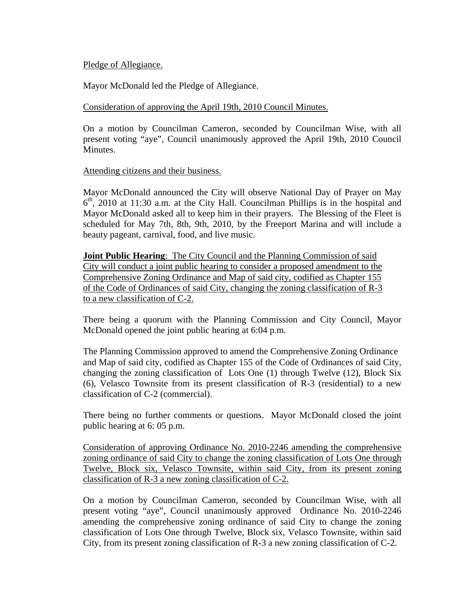## Pledge of Allegiance.

Mayor McDonald led the Pledge of Allegiance.

## Consideration of approving the April 19th, 2010 Council Minutes.

On a motion by Councilman Cameron, seconded by Councilman Wise, with all present voting "aye", Council unanimously approved the April 19th, 2010 Council Minutes.

#### Attending citizens and their business.

Mayor McDonald announced the City will observe National Day of Prayer on May  $6<sup>th</sup>$ , 2010 at 11:30 a.m. at the City Hall. Councilman Phillips is in the hospital and Mayor McDonald asked all to keep him in their prayers. The Blessing of the Fleet is scheduled for May 7th, 8th, 9th, 2010, by the Freeport Marina and will include a beauty pageant, carnival, food, and live music.

**Joint Public Hearing**: The City Council and the Planning Commission of said City will conduct a joint public hearing to consider a proposed amendment to the Comprehensive Zoning Ordinance and Map of said city, codified as Chapter 155 of the Code of Ordinances of said City, changing the zoning classification of R-3 to a new classification of C-2.

There being a quorum with the Planning Commission and City Council, Mayor McDonald opened the joint public hearing at 6:04 p.m.

The Planning Commission approved to amend the Comprehensive Zoning Ordinance and Map of said city, codified as Chapter 155 of the Code of Ordinances of said City, changing the zoning classification of Lots One (1) through Twelve (12), Block Six (6), Velasco Townsite from its present classification of R-3 (residential) to a new classification of C-2 (commercial).

There being no further comments or questions. Mayor McDonald closed the joint public hearing at 6: 05 p.m.

Consideration of approving Ordinance No. 2010-2246 amending the comprehensive zoning ordinance of said City to change the zoning classification of Lots One through Twelve, Block six, Velasco Townsite, within said City, from its present zoning classification of R-3 a new zoning classification of C-2.

On a motion by Councilman Cameron, seconded by Councilman Wise, with all present voting "aye", Council unanimously approved Ordinance No. 2010-2246 amending the comprehensive zoning ordinance of said City to change the zoning classification of Lots One through Twelve, Block six, Velasco Townsite, within said City, from its present zoning classification of R-3 a new zoning classification of C-2.